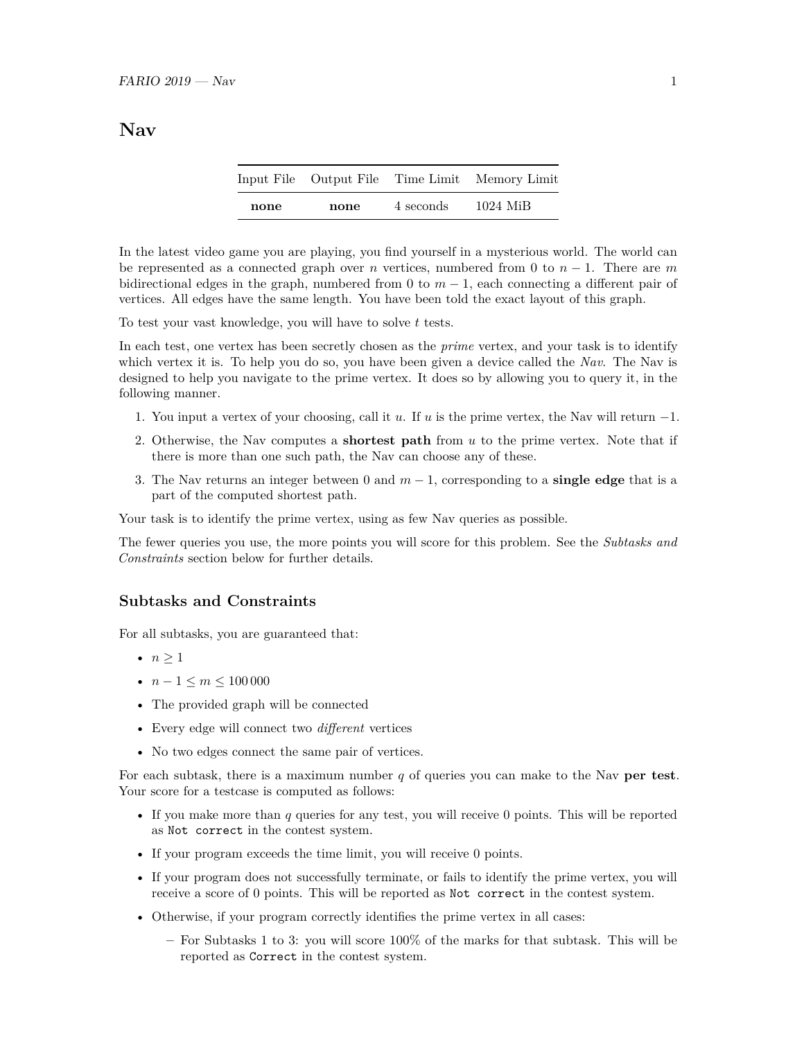# **Nav**

|      |      |           | Input File Output File Time Limit Memory Limit |
|------|------|-----------|------------------------------------------------|
| none | none | 4 seconds | 1024 MiB                                       |

In the latest video game you are playing, you find yourself in a mysterious world. The world can be represented as a connected graph over *n* vertices, numbered from 0 to *n* − 1. There are *m* bidirectional edges in the graph, numbered from 0 to  $m-1$ , each connecting a different pair of vertices. All edges have the same length. You have been told the exact layout of this graph.

To test your vast knowledge, you will have to solve *t* tests.

In each test, one vertex has been secretly chosen as the *prime* vertex, and your task is to identify which vertex it is. To help you do so, you have been given a device called the *Nav*. The Nav is designed to help you navigate to the prime vertex. It does so by allowing you to query it, in the following manner.

- 1. You input a vertex of your choosing, call it *u*. If *u* is the prime vertex, the Nav will return −1.
- 2. Otherwise, the Nav computes a **shortest path** from *u* to the prime vertex. Note that if there is more than one such path, the Nav can choose any of these.
- 3. The Nav returns an integer between 0 and *m* − 1, corresponding to a **single edge** that is a part of the computed shortest path.

Your task is to identify the prime vertex, using as few Nav queries as possible.

The fewer queries you use, the more points you will score for this problem. See the *Subtasks and Constraints* section below for further details.

## **Subtasks and Constraints**

For all subtasks, you are guaranteed that:

- $n > 1$
- *n* − 1 ≤ *m* ≤ 100 000
- The provided graph will be connected
- Every edge will connect two *different* vertices
- No two edges connect the same pair of vertices.

For each subtask, there is a maximum number *q* of queries you can make to the Nav **per test**. Your score for a testcase is computed as follows:

- If you make more than *q* queries for any test, you will receive 0 points. This will be reported as Not correct in the contest system.
- If your program exceeds the time limit, you will receive 0 points.
- If your program does not successfully terminate, or fails to identify the prime vertex, you will receive a score of 0 points. This will be reported as Not correct in the contest system.
- Otherwise, if your program correctly identifies the prime vertex in all cases:
	- **–** For Subtasks 1 to 3: you will score 100% of the marks for that subtask. This will be reported as Correct in the contest system.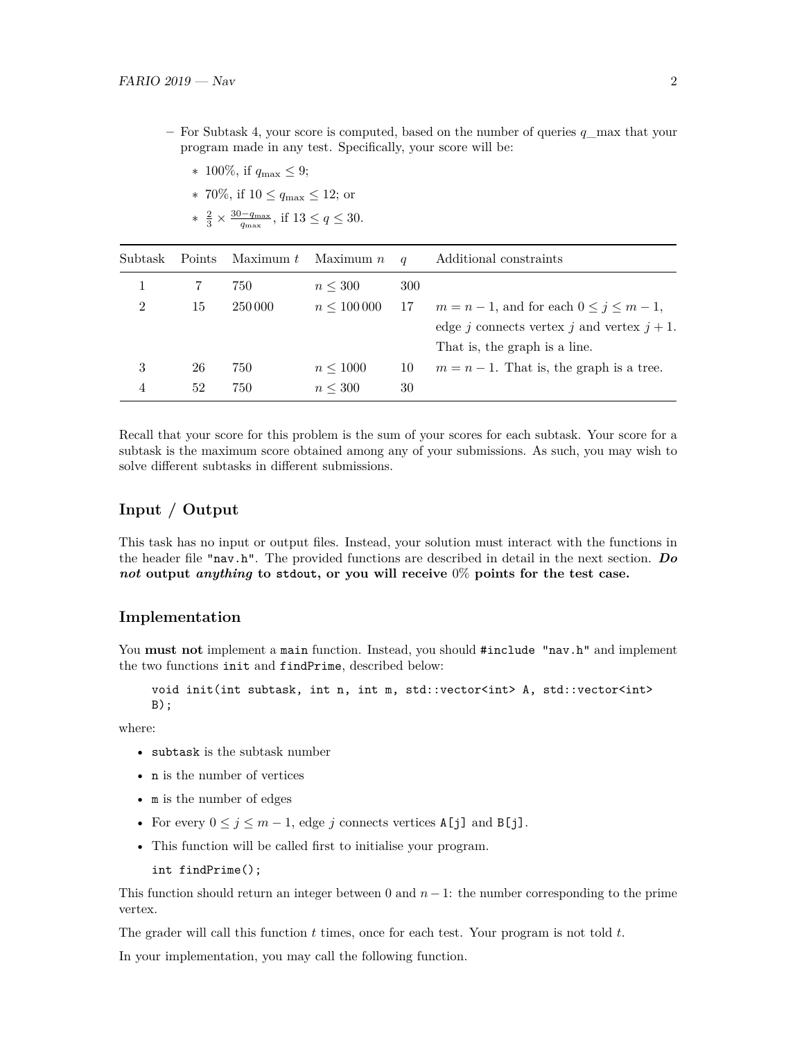- **–** For Subtask 4, your score is computed, based on the number of queries *q*\_max that your program made in any test. Specifically, your score will be:
	- ∗ 100%, if *q*max ≤ 9;
	- ∗ 70%, if 10 ≤ *q*max ≤ 12; or ∗  $\frac{2}{3} \times \frac{30 - q_{\text{max}}}{q_{\text{max}}}$ , if  $13 \le q \le 30$ .

| Subtask        | Points | Maximum t | Maximum $n$       | $\boldsymbol{q}$ | Additional constraints                             |
|----------------|--------|-----------|-------------------|------------------|----------------------------------------------------|
|                |        | 750       | $n \leq 300$      | 300              |                                                    |
| 2              | 15     | 250 000   | $n \leq 100\,000$ | 17               | $m = n - 1$ , and for each $0 \leq j \leq m - 1$ , |
|                |        |           |                   |                  | edge j connects vertex j and vertex $j + 1$ .      |
|                |        |           |                   |                  | That is, the graph is a line.                      |
| 3              | 26     | 750       | $n \leq 1000$     | 10               | $m = n - 1$ . That is, the graph is a tree.        |
| $\overline{4}$ | 52     | 750       | $n \leq 300$      | 30               |                                                    |

Recall that your score for this problem is the sum of your scores for each subtask. Your score for a subtask is the maximum score obtained among any of your submissions. As such, you may wish to solve different subtasks in different submissions.

# **Input / Output**

This task has no input or output files. Instead, your solution must interact with the functions in the header file "nav.h". The provided functions are described in detail in the next section. *Do not* **output** *anything* **to stdout, or you will receive** 0% **points for the test case.**

#### **Implementation**

You **must not** implement a main function. Instead, you should #include "nav.h" and implement the two functions init and findPrime, described below:

```
void init(int subtask, int n, int m, std::vector<int> A, std::vector<int>
B);
```
where:

- subtask is the subtask number
- n is the number of vertices
- m is the number of edges
- For every  $0 \leq j \leq m-1$ , edge *j* connects vertices  $A[j]$  and  $B[j]$ .
- This function will be called first to initialise your program.
	- int findPrime();

This function should return an integer between 0 and  $n-1$ : the number corresponding to the prime vertex.

The grader will call this function *t* times, once for each test. Your program is not told *t*.

In your implementation, you may call the following function.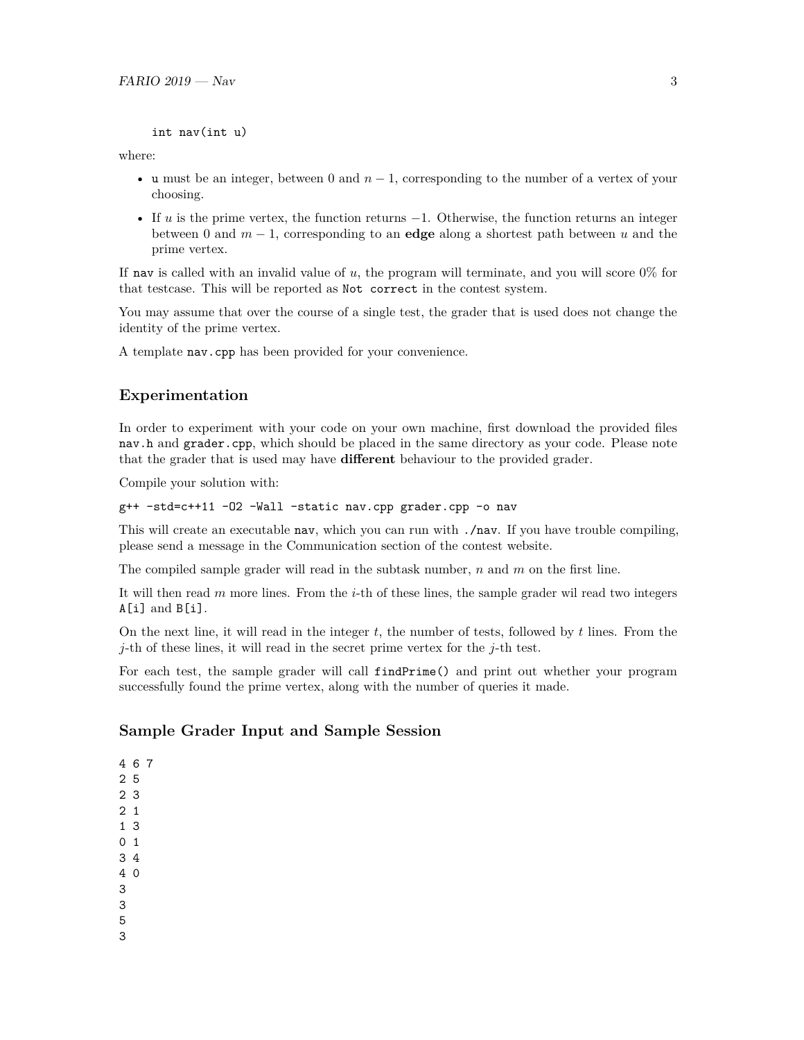```
int nav(int u)
```
where:

- u must be an integer, between 0 and  $n-1$ , corresponding to the number of a vertex of your choosing.
- If *u* is the prime vertex, the function returns −1. Otherwise, the function returns an integer between 0 and *m* − 1, corresponding to an **edge** along a shortest path between *u* and the prime vertex.

If nav is called with an invalid value of *u*, the program will terminate, and you will score 0% for that testcase. This will be reported as Not correct in the contest system.

You may assume that over the course of a single test, the grader that is used does not change the identity of the prime vertex.

A template nav.cpp has been provided for your convenience.

## **Experimentation**

In order to experiment with your code on your own machine, first download the provided files nav.h and grader.cpp, which should be placed in the same directory as your code. Please note that the grader that is used may have **different** behaviour to the provided grader.

Compile your solution with:

```
g++ -std=c++11 -O2 -Wall -static nav.cpp grader.cpp -o nav
```
This will create an executable nav, which you can run with ./nav. If you have trouble compiling, please send a message in the Communication section of the contest website.

The compiled sample grader will read in the subtask number, *n* and *m* on the first line.

It will then read *m* more lines. From the *i*-th of these lines, the sample grader wil read two integers A[i] and B[i].

On the next line, it will read in the integer *t*, the number of tests, followed by *t* lines. From the *j*-th of these lines, it will read in the secret prime vertex for the *j*-th test.

For each test, the sample grader will call findPrime() and print out whether your program successfully found the prime vertex, along with the number of queries it made.

## **Sample Grader Input and Sample Session**

- 4 6 7 2 5 2 3
- 2 1
- 1 3
- 0 1
- 3 4
- 4 0
- 3
- 3
- 5 3